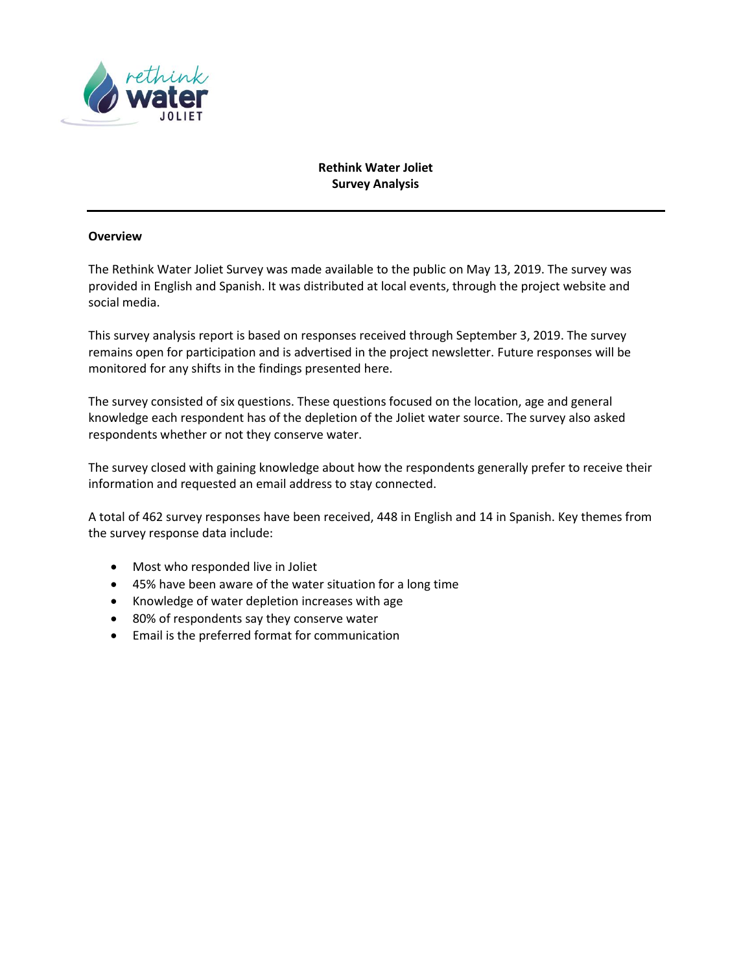

## **Rethink Water Joliet Survey Analysis**

#### **Overview**

The Rethink Water Joliet Survey was made available to the public on May 13, 2019. The survey was provided in English and Spanish. It was distributed at local events, through the project website and social media.

This survey analysis report is based on responses received through September 3, 2019. The survey remains open for participation and is advertised in the project newsletter. Future responses will be monitored for any shifts in the findings presented here.

The survey consisted of six questions. These questions focused on the location, age and general knowledge each respondent has of the depletion of the Joliet water source. The survey also asked respondents whether or not they conserve water.

The survey closed with gaining knowledge about how the respondents generally prefer to receive their information and requested an email address to stay connected.

A total of 462 survey responses have been received, 448 in English and 14 in Spanish. Key themes from the survey response data include:

- Most who responded live in Joliet
- 45% have been aware of the water situation for a long time
- Knowledge of water depletion increases with age
- 80% of respondents say they conserve water
- Email is the preferred format for communication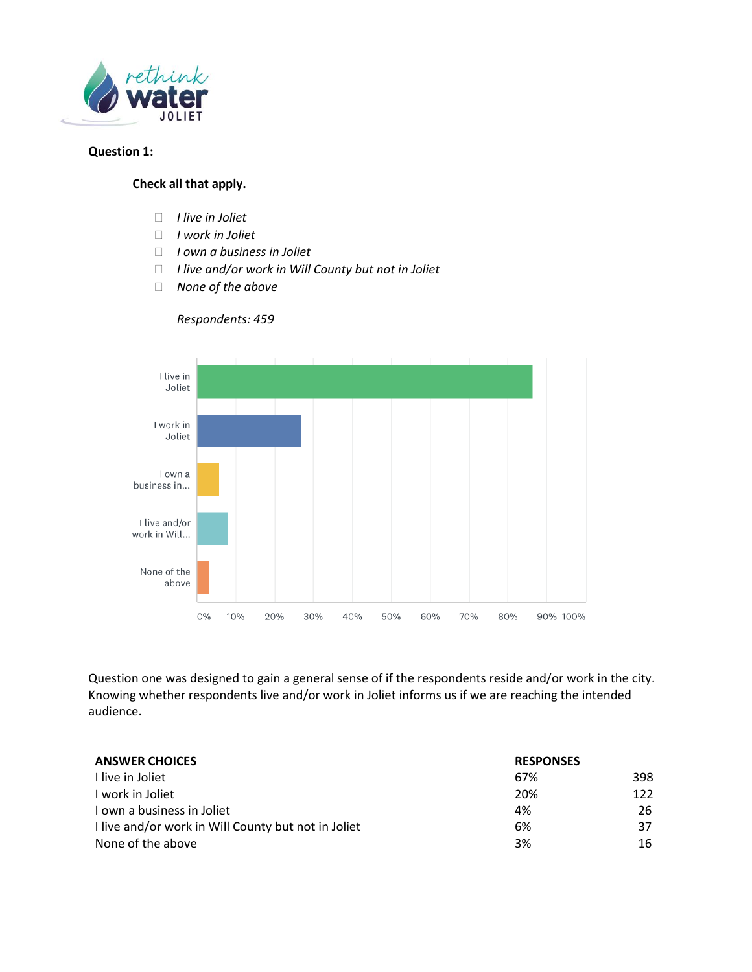

### **Question 1:**

### **Check all that apply.**

- *I live in Joliet*
- *I work in Joliet*
- *I own a business in Joliet*
- *I live and/or work in Will County but not in Joliet*
- *None of the above*



*Respondents: 459*

Question one was designed to gain a general sense of if the respondents reside and/or work in the city. Knowing whether respondents live and/or work in Joliet informs us if we are reaching the intended audience.

| <b>ANSWER CHOICES</b>                               | <b>RESPONSES</b> |     |
|-----------------------------------------------------|------------------|-----|
| I live in Joliet                                    | 67%              | 398 |
| I work in Joliet                                    | 20%              | 122 |
| I own a business in Joliet                          | 4%               | 26  |
| I live and/or work in Will County but not in Joliet | 6%               | 37  |
| None of the above                                   | 3%               | 16  |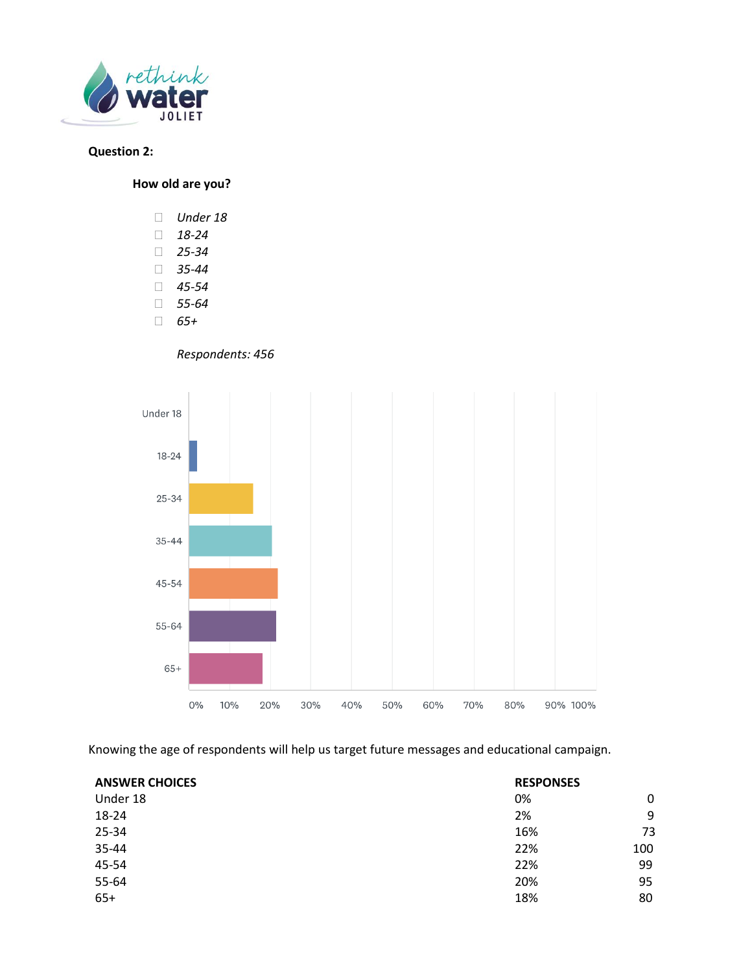

# **Question 2:**

**How old are you?**

- *Under 18*
- *18-24*
- *25-34*
- *35-44*
- *45-54*
- *55-64*
- *65+*

*Respondents: 456*



Knowing the age of respondents will help us target future messages and educational campaign.

| <b>ANSWER CHOICES</b> | <b>RESPONSES</b> |     |
|-----------------------|------------------|-----|
| Under 18              | 0%               | 0   |
| 18-24                 | 2%               | 9   |
| 25-34                 | 16%              | 73  |
| 35-44                 | 22%              | 100 |
| 45-54                 | 22%              | 99  |
| 55-64                 | 20%              | 95  |
| $65+$                 | 18%              | 80  |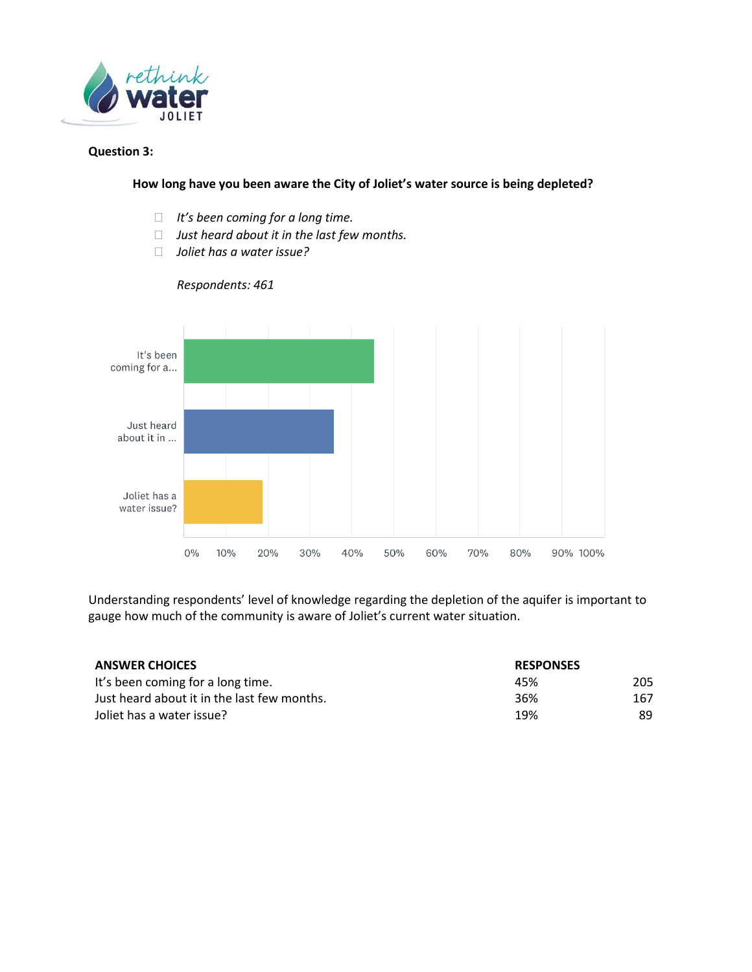

#### **Question 3:**

#### **How long have you been aware the City of Joliet's water source is being depleted?**

- *It's been coming for a long time.*
- *Just heard about it in the last few months.*
- *Joliet has a water issue?*



*Respondents: 461*

Understanding respondents' level of knowledge regarding the depletion of the aquifer is important to gauge how much of the community is aware of Joliet's current water situation.

| <b>ANSWER CHOICES</b>                       | <b>RESPONSES</b> |     |
|---------------------------------------------|------------------|-----|
| It's been coming for a long time.           | 45%              | 205 |
| Just heard about it in the last few months. | 36%              | 167 |
| Joliet has a water issue?                   | 19%              | 89  |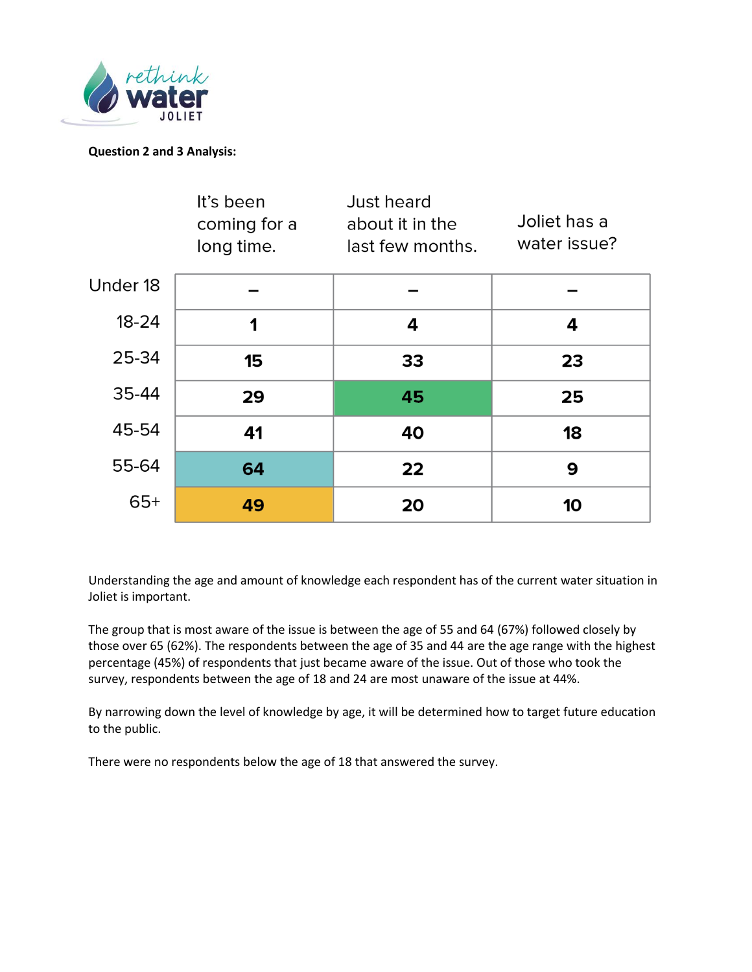

## **Question 2 and 3 Analysis:**

|           | It's been<br>coming for a<br>long time. | Just heard<br>about it in the<br>last few months. | Joliet has a<br>water issue? |
|-----------|-----------------------------------------|---------------------------------------------------|------------------------------|
| Under 18  |                                         |                                                   |                              |
| $18 - 24$ | 1                                       | 4                                                 | 4                            |
| 25-34     | 15                                      | 33                                                | 23                           |
| 35-44     | 29                                      | 45                                                | 25                           |
| 45-54     | 41                                      | 40                                                | 18                           |
| 55-64     | 64                                      | 22                                                | 9                            |
| $65+$     | 49                                      | 20                                                | 10                           |

Understanding the age and amount of knowledge each respondent has of the current water situation in Joliet is important.

The group that is most aware of the issue is between the age of 55 and 64 (67%) followed closely by those over 65 (62%). The respondents between the age of 35 and 44 are the age range with the highest percentage (45%) of respondents that just became aware of the issue. Out of those who took the survey, respondents between the age of 18 and 24 are most unaware of the issue at 44%.

By narrowing down the level of knowledge by age, it will be determined how to target future education to the public.

There were no respondents below the age of 18 that answered the survey.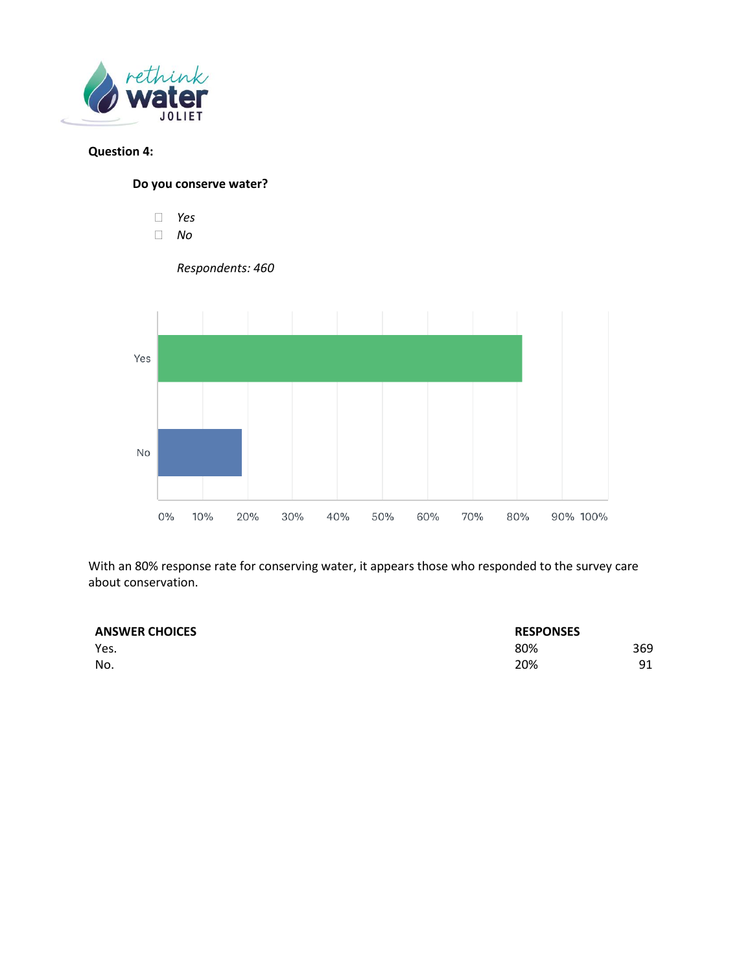

# **Question 4:**

**Do you conserve water?**

*Yes*

 *No Respondents: 460* Yes **No**  $0\%$ 20% 40% 50% 60% 80% 10% 30% 70% 90% 100%

With an 80% response rate for conserving water, it appears those who responded to the survey care about conservation.

| <b>ANSWER CHOICES</b> | <b>RESPONSES</b> |     |
|-----------------------|------------------|-----|
| Yes.                  | 80%              | 369 |
| No.                   | 20%              | 91  |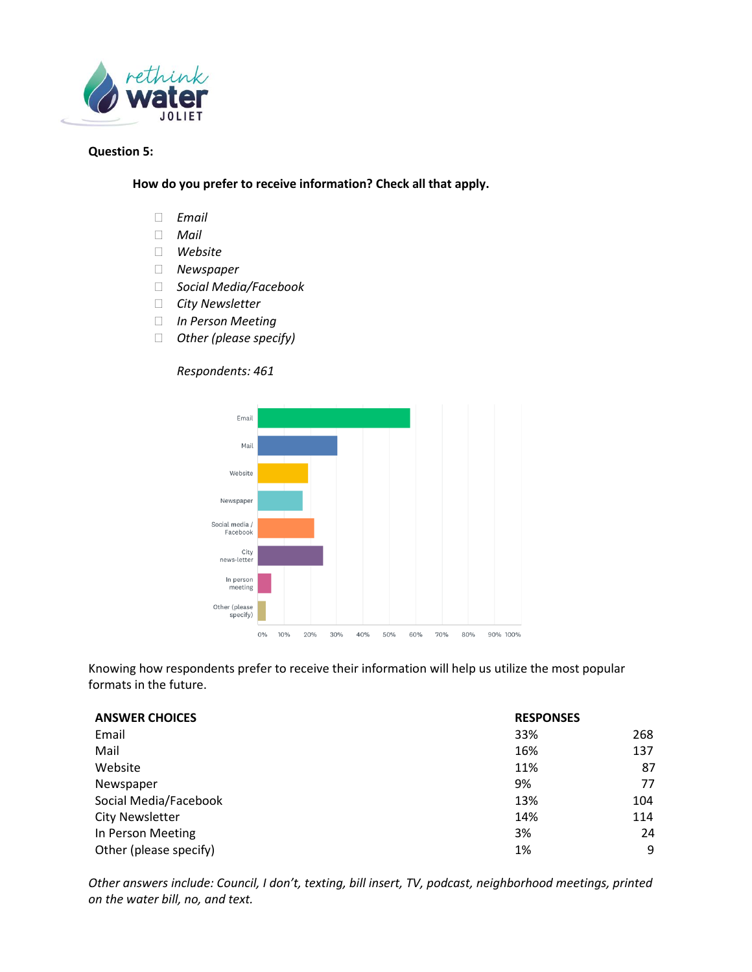

### **Question 5:**

**How do you prefer to receive information? Check all that apply.**

- *Email*
- *Mail*
- *Website*
- *Newspaper*
- *Social Media/Facebook*
- *City Newsletter*
- *In Person Meeting*
- *Other (please specify)*

#### *Respondents: 461*



Knowing how respondents prefer to receive their information will help us utilize the most popular formats in the future.

| <b>ANSWER CHOICES</b>  | <b>RESPONSES</b> |     |
|------------------------|------------------|-----|
| Email                  | 33%              | 268 |
| Mail                   | 16%              | 137 |
| Website                | 11%              | 87  |
| Newspaper              | 9%               | 77  |
| Social Media/Facebook  | 13%              | 104 |
| <b>City Newsletter</b> | 14%              | 114 |
| In Person Meeting      | 3%               | 24  |
| Other (please specify) | 1%               | 9   |

*Other answers include: Council, I don't, texting, bill insert, TV, podcast, neighborhood meetings, printed on the water bill, no, and text.*